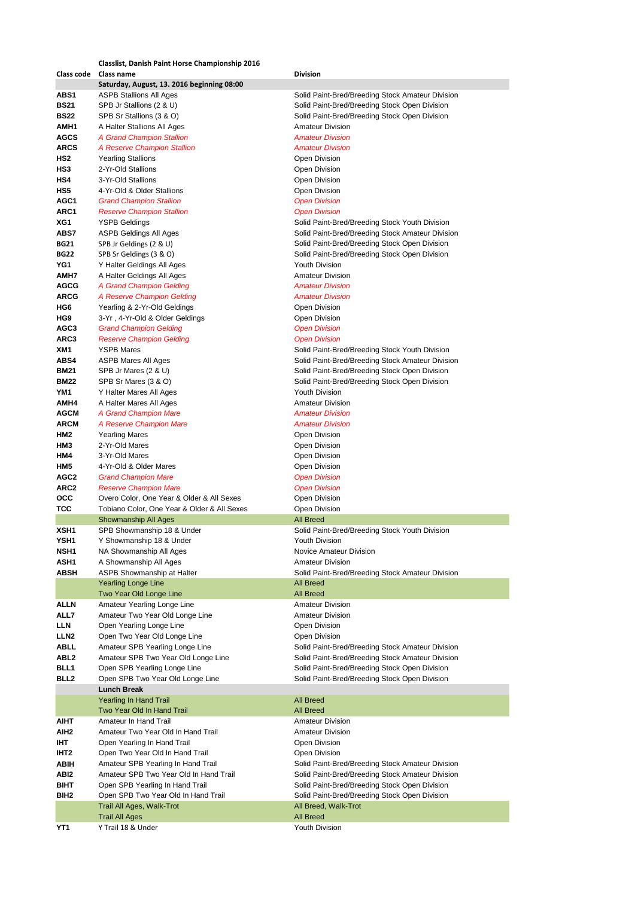|                  | <b>Classlist, Danish Paint Horse Championship 2016</b> |                                                  |
|------------------|--------------------------------------------------------|--------------------------------------------------|
| Class code       | Class name                                             | <b>Division</b>                                  |
|                  | Saturday, August, 13. 2016 beginning 08:00             |                                                  |
| ABS1             | <b>ASPB Stallions All Ages</b>                         | Solid Paint-Bred/Breeding Stock Amateur Division |
| <b>BS21</b>      | SPB Jr Stallions (2 & U)                               | Solid Paint-Bred/Breeding Stock Open Division    |
| <b>BS22</b>      | SPB Sr Stallions (3 & O)                               | Solid Paint-Bred/Breeding Stock Open Division    |
| AMH1             | A Halter Stallions All Ages                            | <b>Amateur Division</b>                          |
| <b>AGCS</b>      | <b>A Grand Champion Stallion</b>                       | <b>Amateur Division</b>                          |
|                  |                                                        |                                                  |
| <b>ARCS</b>      | A Reserve Champion Stallion                            | <b>Amateur Division</b>                          |
| HS2              | <b>Yearling Stallions</b>                              | Open Division                                    |
| HS3              | 2-Yr-Old Stallions                                     | <b>Open Division</b>                             |
| HS4              | 3-Yr-Old Stallions                                     | Open Division                                    |
| HS5              | 4-Yr-Old & Older Stallions                             | <b>Open Division</b>                             |
| AGC1             | <b>Grand Champion Stallion</b>                         | <b>Open Division</b>                             |
| ARC1             | <b>Reserve Champion Stallion</b>                       | <b>Open Division</b>                             |
| XG1              | <b>YSPB Geldings</b>                                   | Solid Paint-Bred/Breeding Stock Youth Division   |
| ABS7             | ASPB Geldings All Ages                                 | Solid Paint-Bred/Breeding Stock Amateur Division |
| <b>BG21</b>      | SPB Jr Geldings (2 & U)                                | Solid Paint-Bred/Breeding Stock Open Division    |
| <b>BG22</b>      | SPB Sr Geldings (3 & O)                                | Solid Paint-Bred/Breeding Stock Open Division    |
| YG1              | Y Halter Geldings All Ages                             | <b>Youth Division</b>                            |
| AMH7             |                                                        | <b>Amateur Division</b>                          |
|                  | A Halter Geldings All Ages                             |                                                  |
| <b>AGCG</b>      | A Grand Champion Gelding                               | <b>Amateur Division</b>                          |
| <b>ARCG</b>      | A Reserve Champion Gelding                             | <b>Amateur Division</b>                          |
| HG6              | Yearling & 2-Yr-Old Geldings                           | <b>Open Division</b>                             |
| HG9              | 3-Yr, 4-Yr-Old & Older Geldings                        | Open Division                                    |
| AGC3             | <b>Grand Champion Gelding</b>                          | <b>Open Division</b>                             |
| ARC3             | <b>Reserve Champion Gelding</b>                        | <b>Open Division</b>                             |
| XM1              | <b>YSPB Mares</b>                                      | Solid Paint-Bred/Breeding Stock Youth Division   |
| ABS4             | ASPB Mares All Ages                                    | Solid Paint-Bred/Breeding Stock Amateur Division |
| <b>BM21</b>      | SPB Jr Mares (2 & U)                                   | Solid Paint-Bred/Breeding Stock Open Division    |
| <b>BM22</b>      | SPB Sr Mares (3 & O)                                   | Solid Paint-Bred/Breeding Stock Open Division    |
| YM1              | Y Halter Mares All Ages                                | <b>Youth Division</b>                            |
| AMH4             | A Halter Mares All Ages                                | <b>Amateur Division</b>                          |
| <b>AGCM</b>      | A Grand Champion Mare                                  | <b>Amateur Division</b>                          |
| <b>ARCM</b>      | A Reserve Champion Mare                                | <b>Amateur Division</b>                          |
| HM2              | <b>Yearling Mares</b>                                  | Open Division                                    |
| НМЗ              | 2-Yr-Old Mares                                         | Open Division                                    |
| HM4              | 3-Yr-Old Mares                                         | Open Division                                    |
| HM5              | 4-Yr-Old & Older Mares                                 | Open Division                                    |
| AGC2             | <b>Grand Champion Mare</b>                             |                                                  |
|                  |                                                        | <b>Open Division</b>                             |
| ARC <sub>2</sub> | <b>Reserve Champion Mare</b>                           | <b>Open Division</b>                             |
| occ              | Overo Color, One Year & Older & All Sexes              | Open Division                                    |
| тсс              | Tobiano Color, One Year & Older & All Sexes            | Open Division                                    |
|                  | Showmanship All Ages                                   | <b>All Breed</b>                                 |
| XSH <sub>1</sub> | SPB Showmanship 18 & Under                             | Solid Paint-Bred/Breeding Stock Youth Division   |
| YSH1             | Y Showmanship 18 & Under                               | Youth Division                                   |
| NSH1             | NA Showmanship All Ages                                | Novice Amateur Division                          |
| ASH1             | A Showmanship All Ages                                 | <b>Amateur Division</b>                          |
| ABSH             | ASPB Showmanship at Halter                             | Solid Paint-Bred/Breeding Stock Amateur Division |
|                  | <b>Yearling Longe Line</b>                             | <b>All Breed</b>                                 |
|                  | Two Year Old Longe Line                                | <b>All Breed</b>                                 |
| <b>ALLN</b>      | Amateur Yearling Longe Line                            | <b>Amateur Division</b>                          |
| ALL7             | Amateur Two Year Old Longe Line                        | <b>Amateur Division</b>                          |
| LLN              | Open Yearling Longe Line                               | Open Division                                    |
| LLN <sub>2</sub> | Open Two Year Old Longe Line                           | Open Division                                    |
| ABLL             | Amateur SPB Yearling Longe Line                        | Solid Paint-Bred/Breeding Stock Amateur Division |
| ABL2             | Amateur SPB Two Year Old Longe Line                    | Solid Paint-Bred/Breeding Stock Amateur Division |
| BLL1             | Open SPB Yearling Longe Line                           | Solid Paint-Bred/Breeding Stock Open Division    |
| BLL2             | Open SPB Two Year Old Longe Line                       | Solid Paint-Bred/Breeding Stock Open Division    |
|                  | <b>Lunch Break</b>                                     |                                                  |
|                  | <b>Yearling In Hand Trail</b>                          | <b>All Breed</b>                                 |
|                  | Two Year Old In Hand Trail                             | <b>All Breed</b>                                 |
|                  | Amateur In Hand Trail                                  |                                                  |
| AIHT             |                                                        | <b>Amateur Division</b>                          |
| AIH <sub>2</sub> | Amateur Two Year Old In Hand Trail                     | <b>Amateur Division</b>                          |
| IHT              | Open Yearling In Hand Trail                            | Open Division                                    |
| IHT <sub>2</sub> | Open Two Year Old In Hand Trail                        | Open Division                                    |
| ABIH             | Amateur SPB Yearling In Hand Trail                     | Solid Paint-Bred/Breeding Stock Amateur Division |
| ABI2             | Amateur SPB Two Year Old In Hand Trail                 | Solid Paint-Bred/Breeding Stock Amateur Division |
| BIHT             | Open SPB Yearling In Hand Trail                        | Solid Paint-Bred/Breeding Stock Open Division    |
| BIH2             | Open SPB Two Year Old In Hand Trail                    | Solid Paint-Bred/Breeding Stock Open Division    |
|                  | Trail All Ages, Walk-Trot                              | All Breed, Walk-Trot                             |
|                  | <b>Trail All Ages</b>                                  | <b>All Breed</b>                                 |
| YT1              | Y Trail 18 & Under                                     | Youth Division                                   |